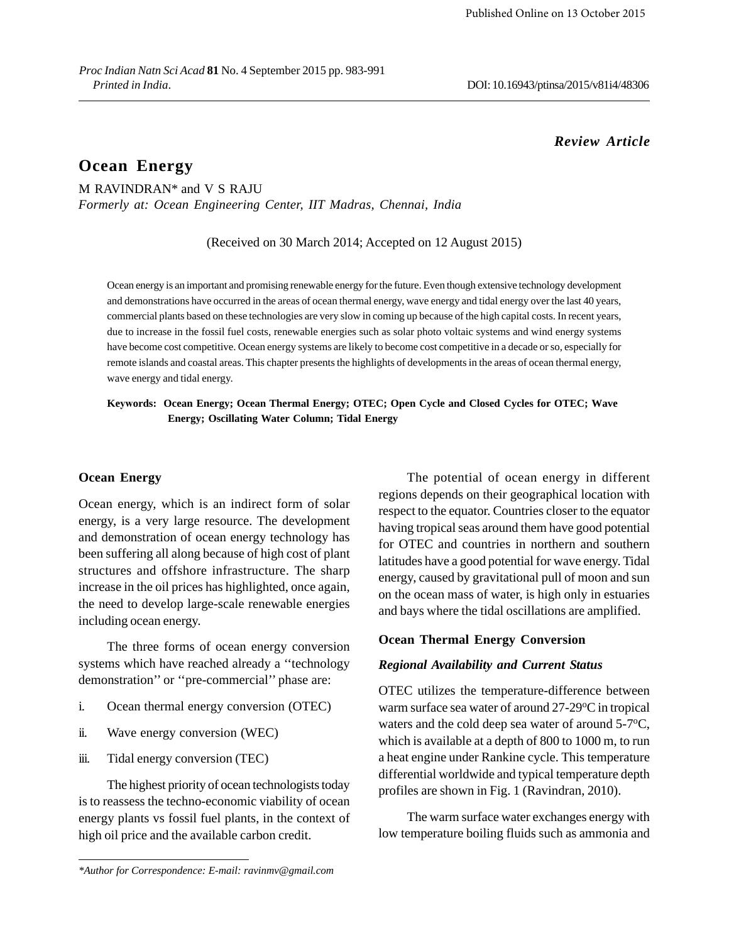# *Review Article*

# **Ocean Energy**

M RAVINDRAN\* and V S RAJU *Formerly at: Ocean Engineering Center, IIT Madras, Chennai, India*

(Received on 30 March 2014; Accepted on 12 August 2015)

Ocean energy is an important and promising renewable energy for the future. Even though extensive technology development and demonstrations have occurred in the areas of ocean thermal energy, wave energy and tidal energy over the last 40 years, commercial plants based on these technologies are very slow in coming up because of the high capital costs. In recent years, due to increase in the fossil fuel costs, renewable energies such as solar photo voltaic systems and wind energy systems have become cost competitive. Ocean energy systems are likely to become cost competitive in a decade or so, especially for remote islands and coastal areas. This chapter presents the highlights of developments in the areas of ocean thermal energy, wave energy and tidal energy.

**Keywords: Ocean Energy; Ocean Thermal Energy; OTEC; Open Cycle and Closed Cycles for OTEC; Wave Energy; Oscillating Water Column; Tidal Energy**

### **Ocean Energy**

Ocean energy, which is an indirect form of solar energy, is a very large resource. The development and demonstration of ocean energy technology has been suffering all along because of high cost of plant structures and offshore infrastructure. The sharp increase in the oil prices has highlighted, once again, the need to develop large-scale renewable energies including ocean energy.

The three forms of ocean energy conversion systems which have reached already a ''technology demonstration'' or ''pre-commercial'' phase are:

- i. Ocean thermal energy conversion (OTEC)
- ii. Wave energy conversion (WEC)
- iii. Tidal energy conversion (TEC)

The highest priority of ocean technologists today is to reassess the techno-economic viability of ocean energy plants vs fossil fuel plants, in the context of high oil price and the available carbon credit.

The potential of ocean energy in different regions depends on their geographical location with respect to the equator. Countries closer to the equator having tropical seas around them have good potential for OTEC and countries in northern and southern latitudes have a good potential for wave energy. Tidal energy, caused by gravitational pull of moon and sun on the ocean mass of water, is high only in estuaries and bays where the tidal oscillations are amplified.

### **Ocean Thermal Energy Conversion**

### *Regional Availability and Current Status*

OTEC utilizes the temperature-difference between warm surface sea water of around 27-29°C in tropical waters and the cold deep sea water of around 5-7<sup>o</sup>C, which is available at a depth of 800 to 1000 m, to run a heat engine under Rankine cycle. This temperature differential worldwide and typical temperature depth profiles are shown in Fig. 1 (Ravindran, 2010).

The warm surface water exchanges energy with low temperature boiling fluids such as ammonia and

*<sup>\*</sup>Author for Correspondence: E-mail: ravinmv@gmail.com*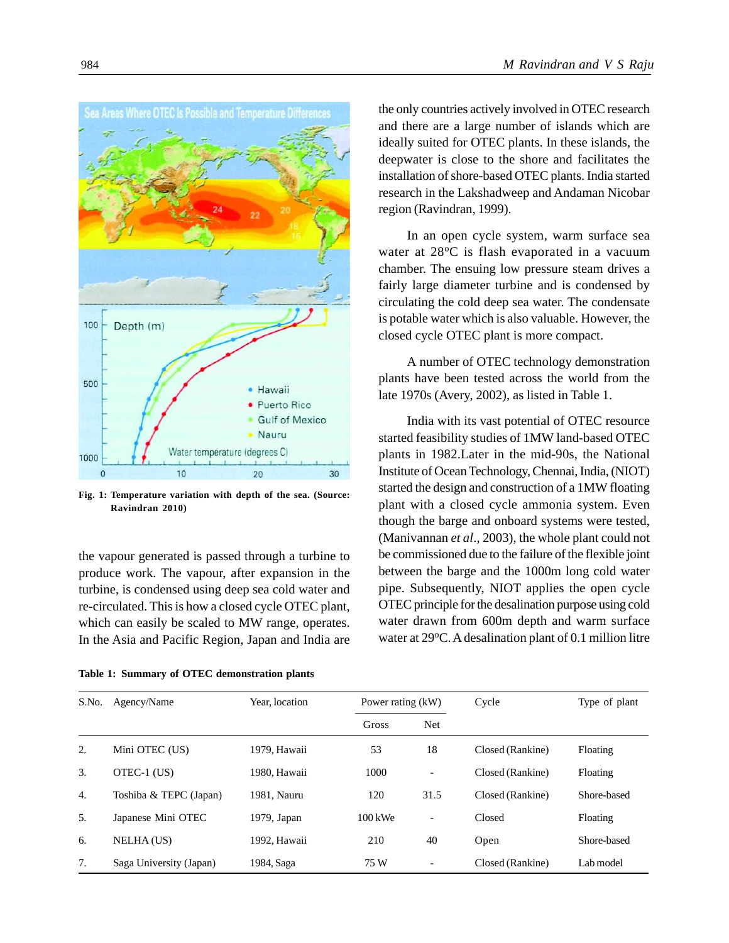

**Fig. 1: Temperature variation with depth of the sea. (Source: Ravindran 2010)**

the vapour generated is passed through a turbine to produce work. The vapour, after expansion in the turbine, is condensed using deep sea cold water and re-circulated. This is how a closed cycle OTEC plant, which can easily be scaled to MW range, operates. In the Asia and Pacific Region, Japan and India are

**Table 1: Summary of OTEC demonstration plants**

the only countries actively involved in OTEC research and there are a large number of islands which are ideally suited for OTEC plants. In these islands, the deepwater is close to the shore and facilitates the installation of shore-based OTEC plants. India started research in the Lakshadweep and Andaman Nicobar region (Ravindran, 1999).

In an open cycle system, warm surface sea water at 28<sup>o</sup>C is flash evaporated in a vacuum chamber. The ensuing low pressure steam drives a fairly large diameter turbine and is condensed by circulating the cold deep sea water. The condensate is potable water which is also valuable. However, the closed cycle OTEC plant is more compact.

A number of OTEC technology demonstration plants have been tested across the world from the late 1970s (Avery, 2002), as listed in Table 1.

India with its vast potential of OTEC resource started feasibility studies of 1MW land-based OTEC plants in 1982.Later in the mid-90s, the National Institute of Ocean Technology, Chennai, India, (NIOT) started the design and construction of a 1MW floating plant with a closed cycle ammonia system. Even though the barge and onboard systems were tested, (Manivannan *et al*., 2003), the whole plant could not be commissioned due to the failure of the flexible joint between the barge and the 1000m long cold water pipe. Subsequently, NIOT applies the open cycle OTEC principle for the desalination purpose using cold water drawn from 600m depth and warm surface water at  $29^{\circ}$ C. A desalination plant of 0.1 million litre

| S.No. | Agency/Name             | Year, location | Power rating (kW)  |                          | Cycle            | Type of plant |
|-------|-------------------------|----------------|--------------------|--------------------------|------------------|---------------|
|       |                         |                | Gross              | Net                      |                  |               |
| 2.    | Mini OTEC (US)          | 1979, Hawaii   | 53                 | 18                       | Closed (Rankine) | Floating      |
| 3.    | OTEC-1 (US)             | 1980. Hawaii   | 1000               | $\overline{\phantom{a}}$ | Closed (Rankine) | Floating      |
| 4.    | Toshiba & TEPC (Japan)  | 1981. Nauru    | 120                | 31.5                     | Closed (Rankine) | Shore-based   |
| 5.    | Japanese Mini OTEC      | $1979$ , Japan | $100 \text{ kW}$ e | $\overline{\phantom{a}}$ | Closed           | Floating      |
| 6.    | <b>NELHA</b> (US)       | 1992. Hawaii   | 210                | 40                       | Open             | Shore-based   |
| 7.    | Saga University (Japan) | 1984, Saga     | 75 W               |                          | Closed (Rankine) | Lab model     |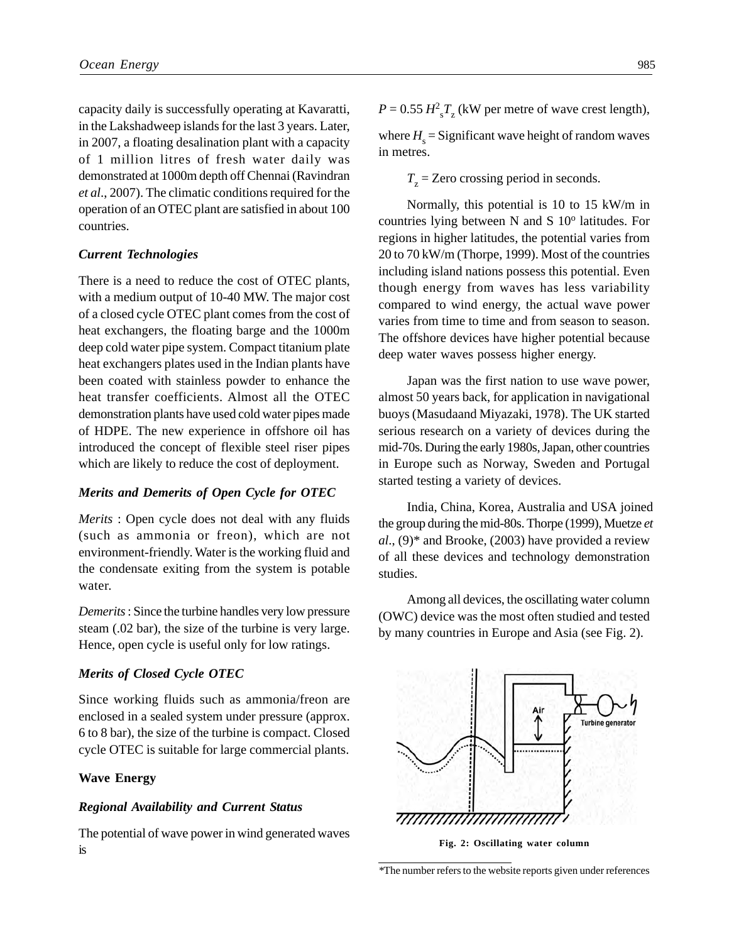capacity daily is successfully operating at Kavaratti, in the Lakshadweep islands for the last 3 years. Later, in 2007, a floating desalination plant with a capacity of 1 million litres of fresh water daily was demonstrated at 1000m depth off Chennai (Ravindran *et al*., 2007). The climatic conditions required for the operation of an OTEC plant are satisfied in about 100 countries.

### *Current Technologies*

There is a need to reduce the cost of OTEC plants, with a medium output of 10-40 MW. The major cost of a closed cycle OTEC plant comes from the cost of heat exchangers, the floating barge and the 1000m deep cold water pipe system. Compact titanium plate heat exchangers plates used in the Indian plants have been coated with stainless powder to enhance the heat transfer coefficients. Almost all the OTEC demonstration plants have used cold water pipes made of HDPE. The new experience in offshore oil has introduced the concept of flexible steel riser pipes which are likely to reduce the cost of deployment.

### *Merits and Demerits of Open Cycle for OTEC*

*Merits* : Open cycle does not deal with any fluids (such as ammonia or freon), which are not environment-friendly. Water is the working fluid and the condensate exiting from the system is potable water.

*Demerits* : Since the turbine handles very low pressure steam (.02 bar), the size of the turbine is very large. Hence, open cycle is useful only for low ratings.

### *Merits of Closed Cycle OTEC*

Since working fluids such as ammonia/freon are enclosed in a sealed system under pressure (approx. 6 to 8 bar), the size of the turbine is compact. Closed cycle OTEC is suitable for large commercial plants.

### **Wave Energy**

#### *Regional Availability and Current Status*

The potential of wave power in wind generated waves is

 $P = 0.55 H_{\text{s}}^2 T_{\text{z}}$  (kW per metre of wave crest length),

where  $H<sub>s</sub>$  = Significant wave height of random waves in metres.

 $T<sub>z</sub>$  = Zero crossing period in seconds.

Normally, this potential is 10 to 15 kW/m in countries lying between N and S  $10^{\circ}$  latitudes. For regions in higher latitudes, the potential varies from 20 to 70 kW/m (Thorpe, 1999). Most of the countries including island nations possess this potential. Even though energy from waves has less variability compared to wind energy, the actual wave power varies from time to time and from season to season. The offshore devices have higher potential because deep water waves possess higher energy.

Japan was the first nation to use wave power, almost 50 years back, for application in navigational buoys (Masudaand Miyazaki, 1978). The UK started serious research on a variety of devices during the mid-70s. During the early 1980s, Japan, other countries in Europe such as Norway, Sweden and Portugal started testing a variety of devices.

India, China, Korea, Australia and USA joined the group during the mid-80s. Thorpe (1999), Muetze *et al*., (9)\* and Brooke, (2003) have provided a review of all these devices and technology demonstration studies.

Among all devices, the oscillating water column (OWC) device was the most often studied and tested by many countries in Europe and Asia (see Fig. 2).



**Fig. 2: Oscillating water column**

*<sup>\*</sup>*The number refers to the website reports given under references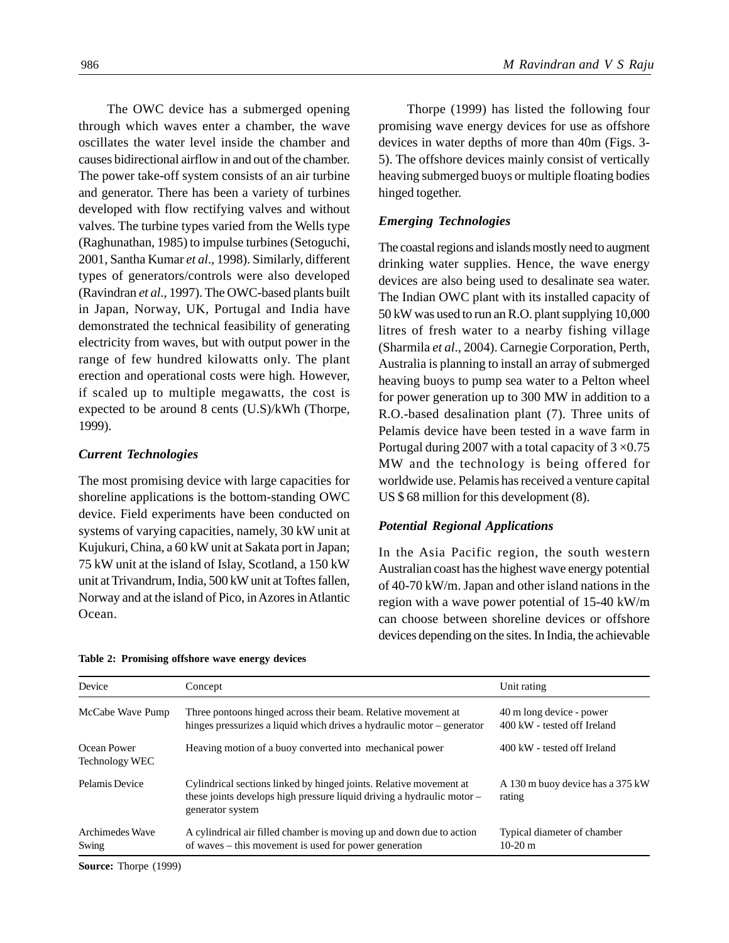The OWC device has a submerged opening through which waves enter a chamber, the wave oscillates the water level inside the chamber and causes bidirectional airflow in and out of the chamber. The power take-off system consists of an air turbine and generator. There has been a variety of turbines developed with flow rectifying valves and without valves. The turbine types varied from the Wells type (Raghunathan, 1985) to impulse turbines (Setoguchi, 2001, Santha Kumar *et al*., 1998). Similarly, different types of generators/controls were also developed (Ravindran *et al*., 1997). The OWC-based plants built in Japan, Norway, UK, Portugal and India have demonstrated the technical feasibility of generating electricity from waves, but with output power in the range of few hundred kilowatts only. The plant erection and operational costs were high. However, if scaled up to multiple megawatts, the cost is expected to be around 8 cents (U.S)/kWh (Thorpe,

### *Current Technologies*

1999).

The most promising device with large capacities for shoreline applications is the bottom-standing OWC device. Field experiments have been conducted on systems of varying capacities, namely, 30 kW unit at Kujukuri, China, a 60 kW unit at Sakata port in Japan; 75 kW unit at the island of Islay, Scotland, a 150 kW unit at Trivandrum, India, 500 kW unit at Toftes fallen, Norway and at the island of Pico, in Azores in Atlantic Ocean.

**Table 2: Promising offshore wave energy devices**

Thorpe (1999) has listed the following four promising wave energy devices for use as offshore devices in water depths of more than 40m (Figs. 3- 5). The offshore devices mainly consist of vertically heaving submerged buoys or multiple floating bodies hinged together.

### *Emerging Technologies*

The coastal regions and islands mostly need to augment drinking water supplies. Hence, the wave energy devices are also being used to desalinate sea water. The Indian OWC plant with its installed capacity of 50 kW was used to run an R.O. plant supplying 10,000 litres of fresh water to a nearby fishing village (Sharmila *et al*., 2004). Carnegie Corporation, Perth, Australia is planning to install an array of submerged heaving buoys to pump sea water to a Pelton wheel for power generation up to 300 MW in addition to a R.O.-based desalination plant (7). Three units of Pelamis device have been tested in a wave farm in Portugal during 2007 with a total capacity of  $3 \times 0.75$ MW and the technology is being offered for worldwide use. Pelamis has received a venture capital US \$ 68 million for this development (8).

### *Potential Regional Applications*

In the Asia Pacific region, the south western Australian coast has the highest wave energy potential of 40-70 kW/m. Japan and other island nations in the region with a wave power potential of 15-40 kW/m can choose between shoreline devices or offshore devices depending on the sites. In India, the achievable

| Device                        | Concept                                                                                                                                                          | Unit rating                                             |
|-------------------------------|------------------------------------------------------------------------------------------------------------------------------------------------------------------|---------------------------------------------------------|
| McCabe Wave Pump              | Three pontoons hinged across their beam. Relative movement at<br>hinges pressurizes a liquid which drives a hydraulic motor – generator                          | 40 m long device - power<br>400 kW - tested off Ireland |
| Ocean Power<br>Technology WEC | Heaving motion of a buoy converted into mechanical power                                                                                                         | 400 kW - tested off Ireland                             |
| Pelamis Device                | Cylindrical sections linked by hinged joints. Relative movement at<br>these joints develops high pressure liquid driving a hydraulic motor –<br>generator system | A 130 m buoy device has a 375 kW<br>rating              |
| Archimedes Wave<br>Swing      | A cylindrical air filled chamber is moving up and down due to action<br>of waves – this movement is used for power generation                                    | Typical diameter of chamber<br>$10-20 \text{ m}$        |

**Source:** Thorpe (1999)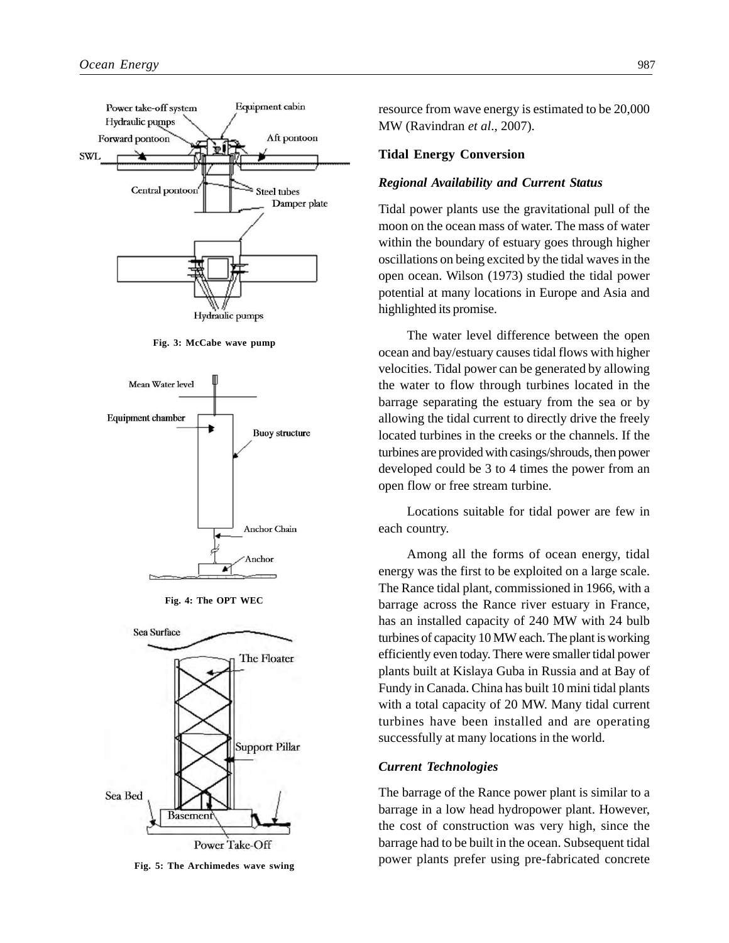

**Fig. 3: McCabe wave pump**







**Fig. 5: The Archimedes wave swing**

resource from wave energy is estimated to be 20,000 MW (Ravindran *et al*., 2007).

### **Tidal Energy Conversion**

### *Regional Availability and Current Status*

Tidal power plants use the gravitational pull of the moon on the ocean mass of water. The mass of water within the boundary of estuary goes through higher oscillations on being excited by the tidal waves in the open ocean. Wilson (1973) studied the tidal power potential at many locations in Europe and Asia and highlighted its promise.

The water level difference between the open ocean and bay/estuary causes tidal flows with higher velocities. Tidal power can be generated by allowing the water to flow through turbines located in the barrage separating the estuary from the sea or by allowing the tidal current to directly drive the freely located turbines in the creeks or the channels. If the turbines are provided with casings/shrouds, then power developed could be 3 to 4 times the power from an open flow or free stream turbine.

Locations suitable for tidal power are few in each country.

Among all the forms of ocean energy, tidal energy was the first to be exploited on a large scale. The Rance tidal plant, commissioned in 1966, with a barrage across the Rance river estuary in France, has an installed capacity of 240 MW with 24 bulb turbines of capacity 10 MW each. The plant is working efficiently even today. There were smaller tidal power plants built at Kislaya Guba in Russia and at Bay of Fundy in Canada. China has built 10 mini tidal plants with a total capacity of 20 MW. Many tidal current turbines have been installed and are operating successfully at many locations in the world.

#### *Current Technologies*

The barrage of the Rance power plant is similar to a barrage in a low head hydropower plant. However, the cost of construction was very high, since the barrage had to be built in the ocean. Subsequent tidal power plants prefer using pre-fabricated concrete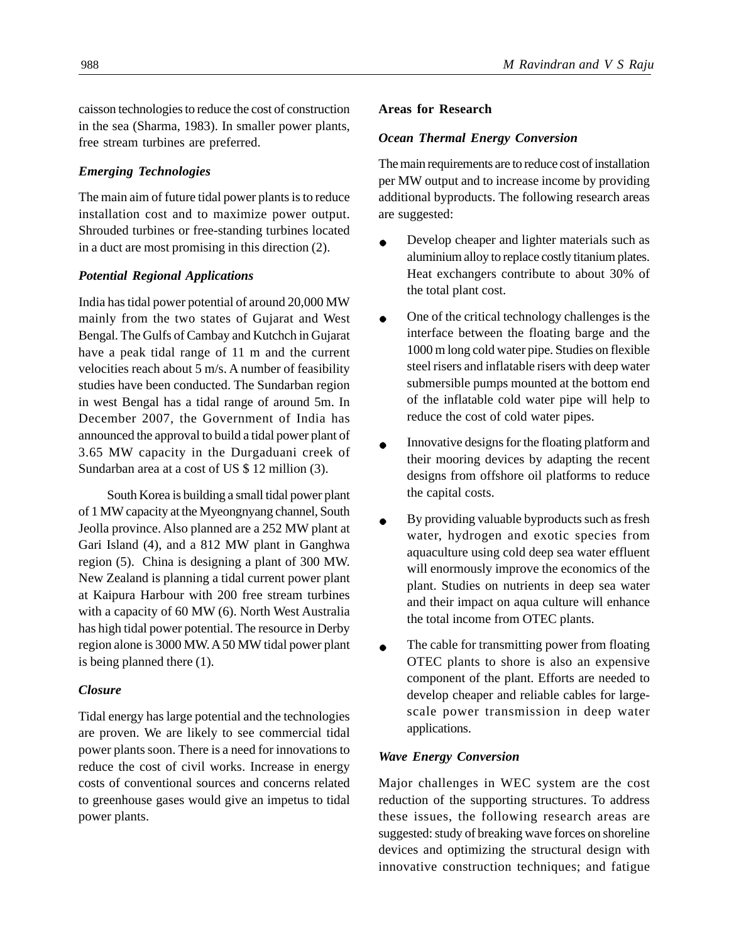caisson technologies to reduce the cost of construction in the sea (Sharma, 1983). In smaller power plants, free stream turbines are preferred.

# *Emerging Technologies*

The main aim of future tidal power plants is to reduce installation cost and to maximize power output. Shrouded turbines or free-standing turbines located in a duct are most promising in this direction (2).

## *Potential Regional Applications*

India has tidal power potential of around 20,000 MW mainly from the two states of Gujarat and West Bengal. The Gulfs of Cambay and Kutchch in Gujarat have a peak tidal range of 11 m and the current velocities reach about 5 m/s. A number of feasibility studies have been conducted. The Sundarban region in west Bengal has a tidal range of around 5m. In December 2007, the Government of India has announced the approval to build a tidal power plant of 3.65 MW capacity in the Durgaduani creek of Sundarban area at a cost of US \$ 12 million (3).

South Korea is building a small tidal power plant of 1 MW capacity at the Myeongnyang channel, South Jeolla province. Also planned are a 252 MW plant at Gari Island (4), and a 812 MW plant in Ganghwa region (5). China is designing a plant of 300 MW. New Zealand is planning a tidal current power plant at Kaipura Harbour with 200 free stream turbines with a capacity of 60 MW (6). North West Australia has high tidal power potential. The resource in Derby region alone is 3000 MW. A 50 MW tidal power plant is being planned there (1).

### *Closure*

Tidal energy has large potential and the technologies are proven. We are likely to see commercial tidal power plants soon. There is a need for innovations to reduce the cost of civil works. Increase in energy costs of conventional sources and concerns related to greenhouse gases would give an impetus to tidal power plants.

### **Areas for Research**

### *Ocean Thermal Energy Conversion*

The main requirements are to reduce cost of installation per MW output and to increase income by providing additional byproducts. The following research areas are suggested:

- Develop cheaper and lighter materials such as aluminium alloy to replace costly titanium plates. Heat exchangers contribute to about 30% of the total plant cost.
- One of the critical technology challenges is the  $\bullet$ interface between the floating barge and the 1000 m long cold water pipe. Studies on flexible steel risers and inflatable risers with deep water submersible pumps mounted at the bottom end of the inflatable cold water pipe will help to reduce the cost of cold water pipes.
- Innovative designs for the floating platform and  $\bullet$ their mooring devices by adapting the recent designs from offshore oil platforms to reduce the capital costs.
- By providing valuable byproducts such as fresh  $\bullet$ water, hydrogen and exotic species from aquaculture using cold deep sea water effluent will enormously improve the economics of the plant. Studies on nutrients in deep sea water and their impact on aqua culture will enhance the total income from OTEC plants.
- The cable for transmitting power from floating  $\bullet$ OTEC plants to shore is also an expensive component of the plant. Efforts are needed to develop cheaper and reliable cables for largescale power transmission in deep water applications.

### *Wave Energy Conversion*

Major challenges in WEC system are the cost reduction of the supporting structures. To address these issues, the following research areas are suggested: study of breaking wave forces on shoreline devices and optimizing the structural design with innovative construction techniques; and fatigue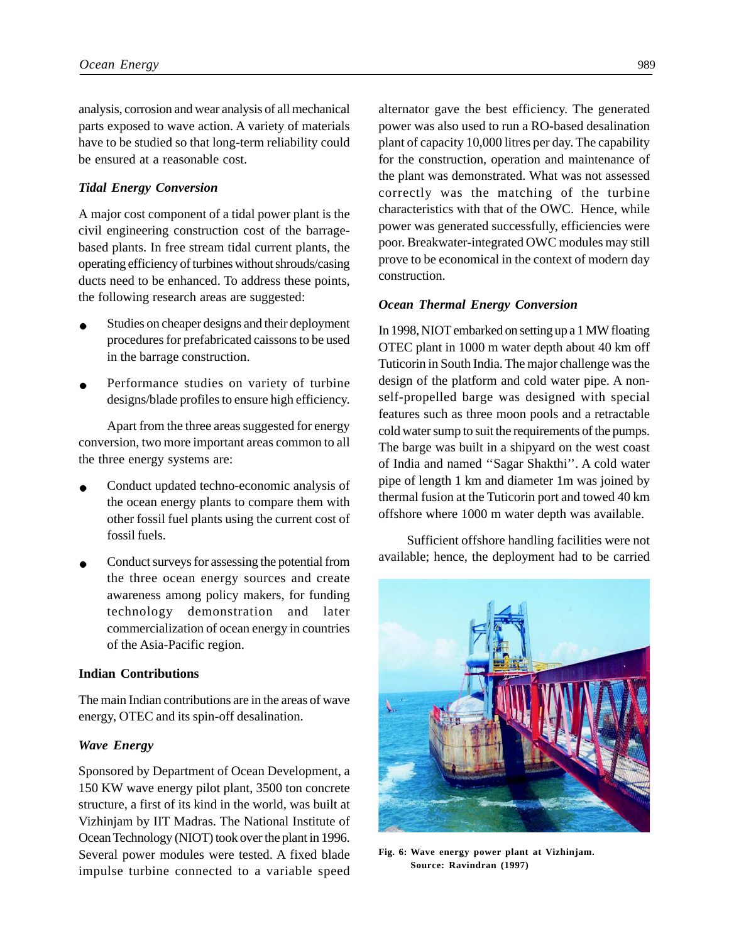analysis, corrosion and wear analysis of all mechanical parts exposed to wave action. A variety of materials have to be studied so that long-term reliability could be ensured at a reasonable cost.

# *Tidal Energy Conversion*

A major cost component of a tidal power plant is the civil engineering construction cost of the barragebased plants. In free stream tidal current plants, the operating efficiency of turbines without shrouds/casing ducts need to be enhanced. To address these points, the following research areas are suggested:

- Studies on cheaper designs and their deployment procedures for prefabricated caissons to be used in the barrage construction.
- Performance studies on variety of turbine designs/blade profiles to ensure high efficiency.

Apart from the three areas suggested for energy conversion, two more important areas common to all the three energy systems are:

- Conduct updated techno-economic analysis of the ocean energy plants to compare them with other fossil fuel plants using the current cost of fossil fuels.
- Conduct surveys for assessing the potential from the three ocean energy sources and create awareness among policy makers, for funding technology demonstration and later commercialization of ocean energy in countries of the Asia-Pacific region.

### **Indian Contributions**

The main Indian contributions are in the areas of wave energy, OTEC and its spin-off desalination.

### *Wave Energy*

Sponsored by Department of Ocean Development, a 150 KW wave energy pilot plant, 3500 ton concrete structure, a first of its kind in the world, was built at Vizhinjam by IIT Madras. The National Institute of Ocean Technology (NIOT) took over the plant in 1996. Several power modules were tested. A fixed blade impulse turbine connected to a variable speed

alternator gave the best efficiency. The generated power was also used to run a RO-based desalination plant of capacity 10,000 litres per day. The capability for the construction, operation and maintenance of the plant was demonstrated. What was not assessed correctly was the matching of the turbine characteristics with that of the OWC. Hence, while power was generated successfully, efficiencies were poor. Breakwater-integrated OWC modules may still prove to be economical in the context of modern day construction.

#### *Ocean Thermal Energy Conversion*

In 1998, NIOT embarked on setting up a 1 MW floating OTEC plant in 1000 m water depth about 40 km off Tuticorin in South India. The major challenge was the design of the platform and cold water pipe. A nonself-propelled barge was designed with special features such as three moon pools and a retractable cold water sump to suit the requirements of the pumps. The barge was built in a shipyard on the west coast of India and named ''Sagar Shakthi''. A cold water pipe of length 1 km and diameter 1m was joined by thermal fusion at the Tuticorin port and towed 40 km offshore where 1000 m water depth was available.

Sufficient offshore handling facilities were not available; hence, the deployment had to be carried



**Fig. 6: Wave energy power plant at Vizhinjam. Source: Ravindran (1997)**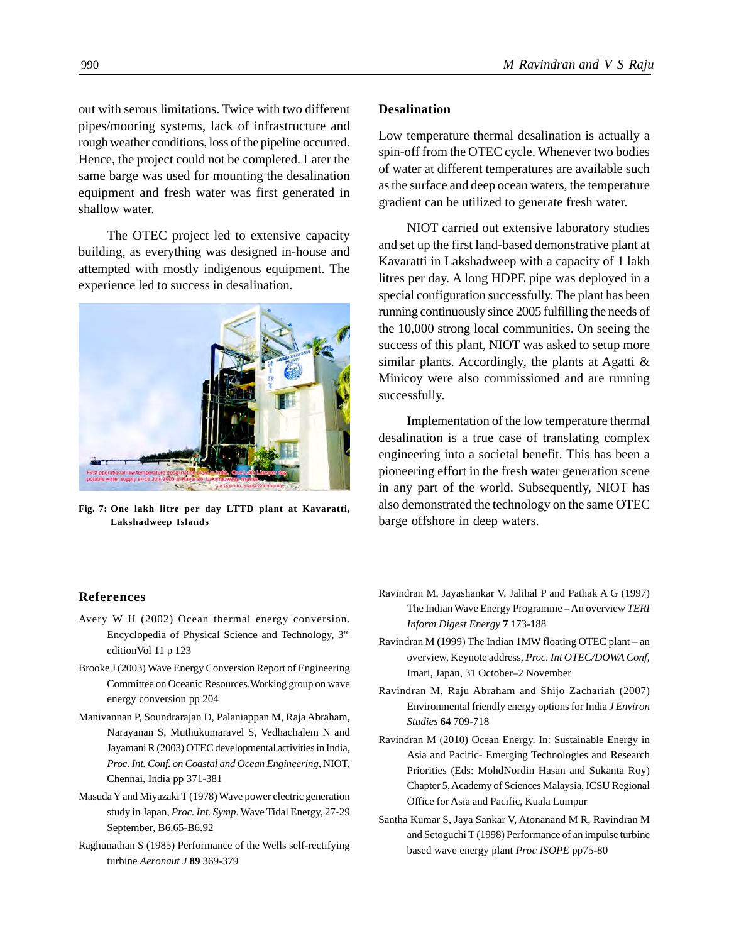out with serous limitations. Twice with two different pipes/mooring systems, lack of infrastructure and rough weather conditions, loss of the pipeline occurred. Hence, the project could not be completed. Later the same barge was used for mounting the desalination equipment and fresh water was first generated in shallow water.

The OTEC project led to extensive capacity building, as everything was designed in-house and attempted with mostly indigenous equipment. The experience led to success in desalination.



**Fig. 7: One lakh litre per day LTTD plant at Kavaratti, Lakshadweep Islands**

# **Desalination**

Low temperature thermal desalination is actually a spin-off from the OTEC cycle. Whenever two bodies of water at different temperatures are available such as the surface and deep ocean waters, the temperature gradient can be utilized to generate fresh water.

NIOT carried out extensive laboratory studies and set up the first land-based demonstrative plant at Kavaratti in Lakshadweep with a capacity of 1 lakh litres per day. A long HDPE pipe was deployed in a special configuration successfully. The plant has been running continuously since 2005 fulfilling the needs of the 10,000 strong local communities. On seeing the success of this plant, NIOT was asked to setup more similar plants. Accordingly, the plants at Agatti  $\&$ Minicoy were also commissioned and are running successfully.

Implementation of the low temperature thermal desalination is a true case of translating complex engineering into a societal benefit. This has been a pioneering effort in the fresh water generation scene in any part of the world. Subsequently, NIOT has also demonstrated the technology on the same OTEC barge offshore in deep waters.

# **References**

- Avery W H (2002) Ocean thermal energy conversion. Encyclopedia of Physical Science and Technology, 3rd editionVol 11 p 123
- Brooke J (2003) Wave Energy Conversion Report of Engineering Committee on Oceanic Resources,Working group on wave energy conversion pp 204
- Manivannan P, Soundrarajan D, Palaniappan M, Raja Abraham, Narayanan S, Muthukumaravel S, Vedhachalem N and Jayamani R (2003) OTEC developmental activities in India, *Proc. Int. Conf. on Coastal and Ocean Engineering*, NIOT, Chennai, India pp 371-381
- Masuda Y and Miyazaki T (1978) Wave power electric generation study in Japan, *Proc. Int. Symp*. Wave Tidal Energy, 27-29 September, B6.65-B6.92
- Raghunathan S (1985) Performance of the Wells self-rectifying turbine *Aeronaut J* **89** 369-379
- Ravindran M, Jayashankar V, Jalihal P and Pathak A G (1997) The Indian Wave Energy Programme – An overview *TERI Inform Digest Energy* **7** 173-188
- Ravindran M (1999) The Indian 1MW floating OTEC plant an overview, Keynote address, *Proc. Int OTEC/DOWA Conf*, Imari, Japan, 31 October–2 November
- Ravindran M, Raju Abraham and Shijo Zachariah (2007) Environmental friendly energy options for India *J Environ Studies* **64** 709-718
- Ravindran M (2010) Ocean Energy. In: Sustainable Energy in Asia and Pacific- Emerging Technologies and Research Priorities (Eds: MohdNordin Hasan and Sukanta Roy) Chapter 5, Academy of Sciences Malaysia, ICSU Regional Office for Asia and Pacific, Kuala Lumpur
- Santha Kumar S, Jaya Sankar V, Atonanand M R, Ravindran M and Setoguchi T (1998) Performance of an impulse turbine based wave energy plant *Proc ISOPE* pp75-80